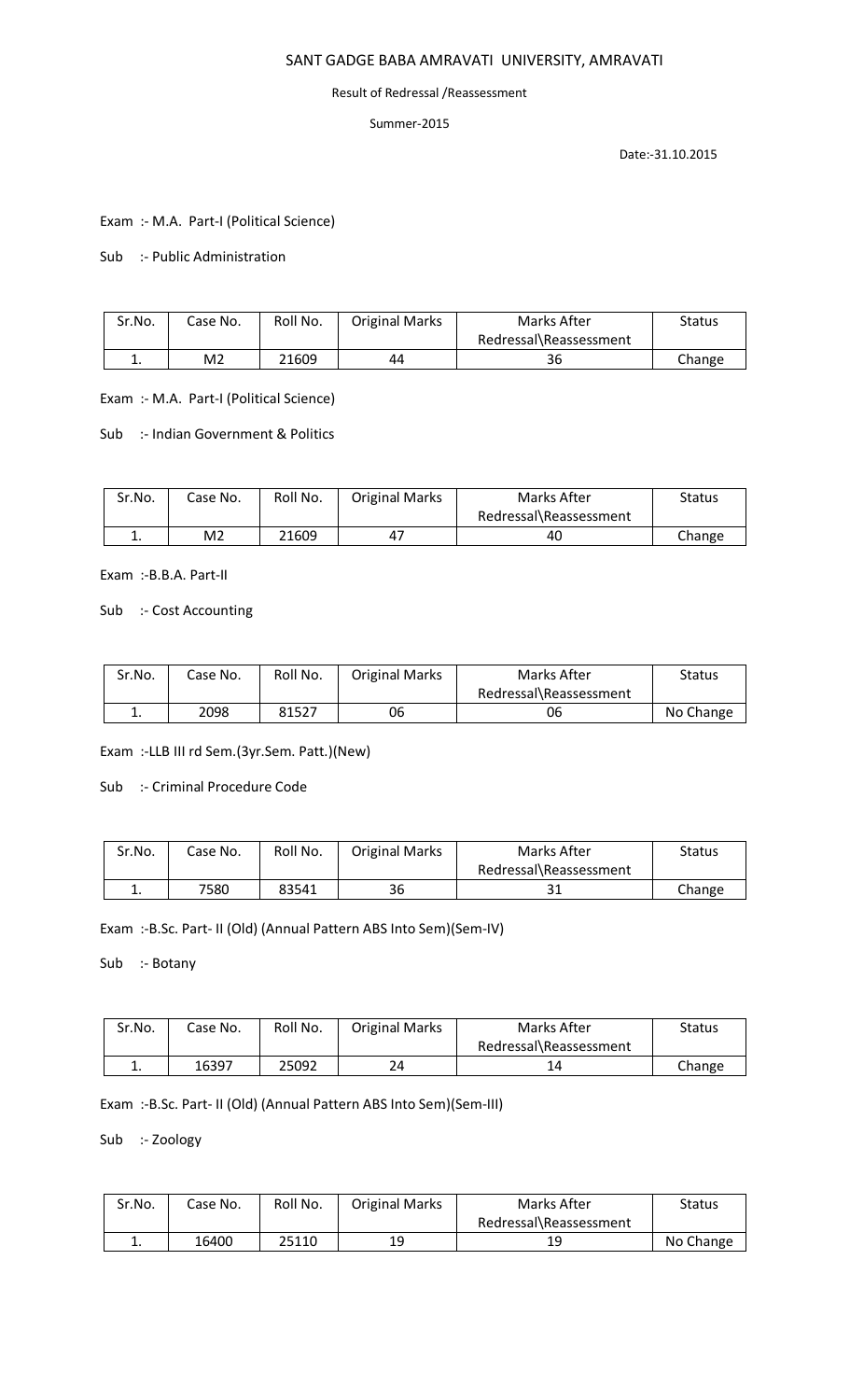# SANT GADGE BABA AMRAVATI UNIVERSITY, AMRAVATI

#### Result of Redressal /Reassessment

## Summer-2015

Date:-31.10.2015

Exam :- M.A. Part-I (Political Science)

# Sub :- Public Administration

| Sr.No.   | Case No.       | Roll No. | <b>Original Marks</b> | Marks After            | Status |
|----------|----------------|----------|-----------------------|------------------------|--------|
|          |                |          |                       | Redressal\Reassessment |        |
| <b>.</b> | M <sub>2</sub> | 21609    | 44                    | 36                     | Change |

## Exam :- M.A. Part-I (Political Science)

Sub :- Indian Government & Politics

| Sr.No. | Case No.       | Roll No. | <b>Original Marks</b> | Marks After            | Status |
|--------|----------------|----------|-----------------------|------------------------|--------|
|        |                |          |                       | Redressal\Reassessment |        |
| . .    | M <sub>2</sub> | 21609    | 47                    | 40                     | Change |

Exam :-B.B.A. Part-II

## Sub :- Cost Accounting

| Sr.No.   | Case No. | Roll No. | <b>Original Marks</b> | Marks After            | Status    |
|----------|----------|----------|-----------------------|------------------------|-----------|
|          |          |          |                       | Redressal\Reassessment |           |
| <b>.</b> | 2098     | 81527    | 06                    | 06                     | No Change |

Exam :-LLB III rd Sem.(3yr.Sem. Patt.)(New)

Sub :- Criminal Procedure Code

| Sr.No.   | Case No. | Roll No. | <b>Original Marks</b> | Marks After            | Status |
|----------|----------|----------|-----------------------|------------------------|--------|
|          |          |          |                       | Redressal\Reassessment |        |
| <b>.</b> | 7580     | 83541    | 36                    | <b>D</b> 1<br>эı       | Change |

Exam :-B.Sc. Part- II (Old) (Annual Pattern ABS Into Sem)(Sem-IV)

Sub :- Botany

| Sr.No. | Case No. | Roll No. | <b>Original Marks</b> | Marks After            | Status |
|--------|----------|----------|-----------------------|------------------------|--------|
|        |          |          |                       | Redressal\Reassessment |        |
|        | 16397    | 25092    | 24                    |                        | Change |

Exam :-B.Sc. Part- II (Old) (Annual Pattern ABS Into Sem)(Sem-III)

Sub :- Zoology

| Sr.No. | Case No. | Roll No. | <b>Original Marks</b> | Marks After            | <b>Status</b> |
|--------|----------|----------|-----------------------|------------------------|---------------|
|        |          |          |                       | Redressal\Reassessment |               |
| ٠.     | 16400    | 25110    | 19                    | 19                     | No Change     |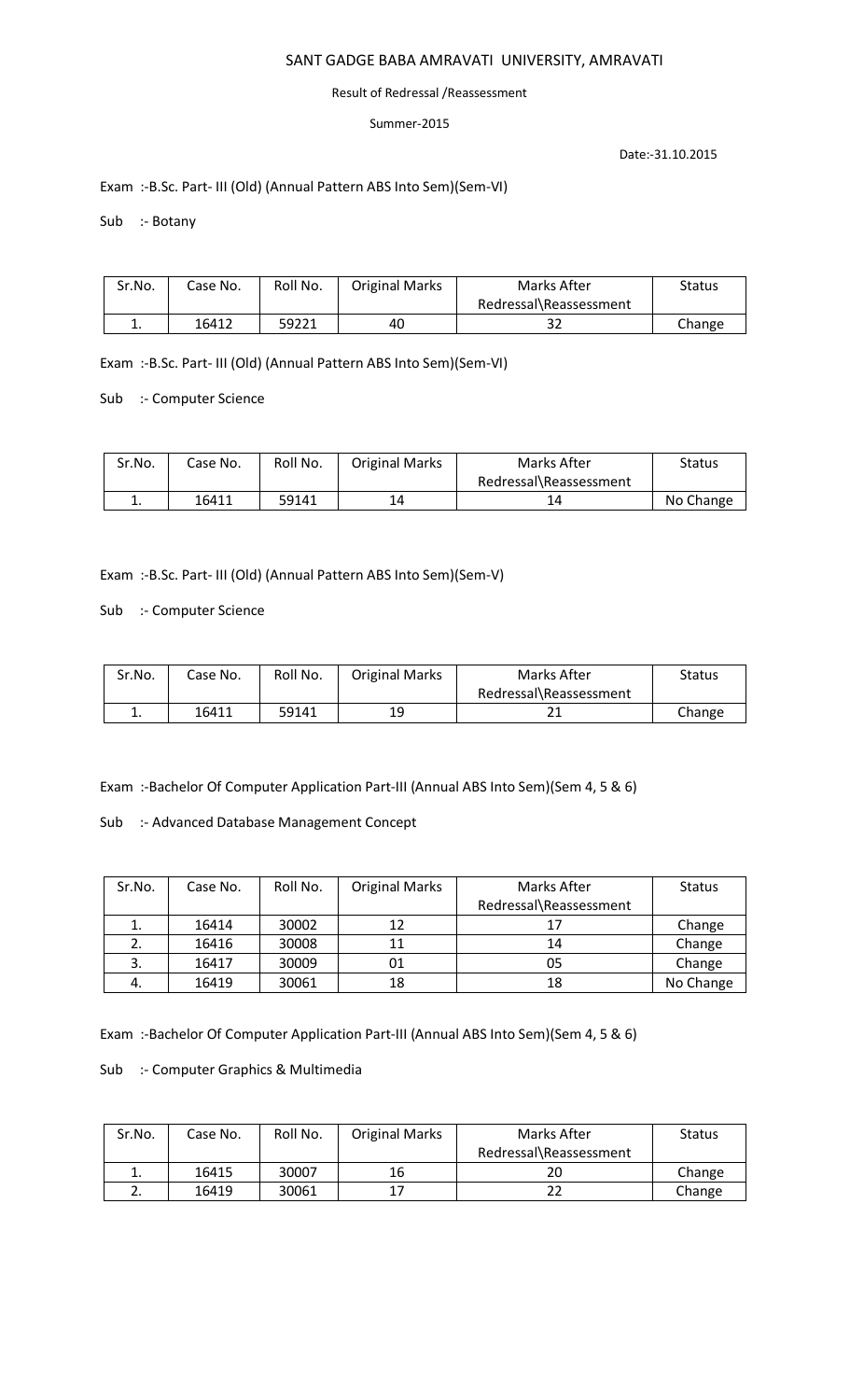# SANT GADGE BABA AMRAVATI UNIVERSITY, AMRAVATI

#### Result of Redressal /Reassessment

## Summer-2015

Date:-31.10.2015

# Exam :-B.Sc. Part- III (Old) (Annual Pattern ABS Into Sem)(Sem-VI)

Sub :- Botany

| Sr.No. | Case No. | Roll No. | <b>Original Marks</b> | Marks After            | Status |
|--------|----------|----------|-----------------------|------------------------|--------|
|        |          |          |                       | Redressal\Reassessment |        |
|        | 16412    | 59221    | 40                    | ےد                     | Change |

Exam :-B.Sc. Part- III (Old) (Annual Pattern ABS Into Sem)(Sem-VI)

Sub :- Computer Science

| Sr.No.   | Case No. | Roll No. | <b>Original Marks</b> | <b>Marks After</b>     | Status    |
|----------|----------|----------|-----------------------|------------------------|-----------|
|          |          |          |                       | Redressal\Reassessment |           |
| <b>.</b> | 16411    | 59141    | 14                    |                        | No Change |

Exam :-B.Sc. Part- III (Old) (Annual Pattern ABS Into Sem)(Sem-V)

Sub :- Computer Science

| Sr.No. | Case No. | Roll No. | <b>Original Marks</b> | Marks After            | <b>Status</b> |
|--------|----------|----------|-----------------------|------------------------|---------------|
|        |          |          |                       | Redressal\Reassessment |               |
|        | 16411    | 59141    | 19                    |                        | Change        |

Exam :-Bachelor Of Computer Application Part-III (Annual ABS Into Sem)(Sem 4, 5 & 6)

Sub :- Advanced Database Management Concept

| Sr.No. | Case No. | Roll No. | <b>Original Marks</b> | Marks After            | <b>Status</b> |
|--------|----------|----------|-----------------------|------------------------|---------------|
|        |          |          |                       | Redressal\Reassessment |               |
|        | 16414    | 30002    | 12                    | 17                     | Change        |
|        | 16416    | 30008    | 11                    | 14                     | Change        |
|        | 16417    | 30009    | 01                    | 05                     | Change        |
| 4.     | 16419    | 30061    | 18                    | 18                     | No Change     |

Exam :-Bachelor Of Computer Application Part-III (Annual ABS Into Sem)(Sem 4, 5 & 6)

Sub :- Computer Graphics & Multimedia

| Sr.No. | Case No. | Roll No. | <b>Original Marks</b> | Marks After            | <b>Status</b> |
|--------|----------|----------|-----------------------|------------------------|---------------|
|        |          |          |                       | Redressal\Reassessment |               |
| ∸.     | 16415    | 30007    | 16                    | 20                     | Change        |
|        | 16419    | 30061    | 17                    |                        | Change        |